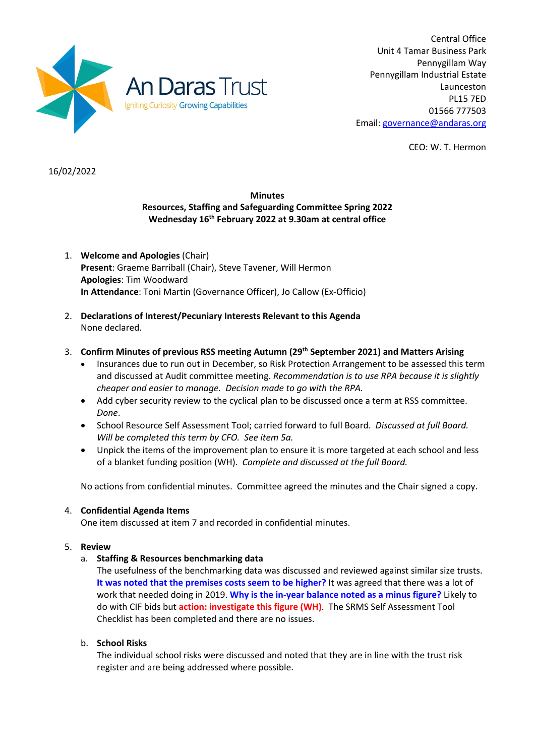

Central Office Unit 4 Tamar Business Park Pennygillam Way Pennygillam Industrial Estate Launceston PL15 7ED 01566 777503 Email: governance@andaras.org

CEO: W. T. Hermon

16/02/2022

# **Minutes Resources, Staffing and Safeguarding Committee Spring 2022 Wednesday 16th February 2022 at 9.30am at central office**

- 1. **Welcome and Apologies** (Chair) **Present**: Graeme Barriball (Chair), Steve Tavener, Will Hermon **Apologies**: Tim Woodward **In Attendance**: Toni Martin (Governance Officer), Jo Callow (Ex-Officio)
- 2. **Declarations of Interest/Pecuniary Interests Relevant to this Agenda** None declared.
- 3. **Confirm Minutes of previous RSS meeting Autumn (29th September 2021) and Matters Arising**
	- Insurances due to run out in December, so Risk Protection Arrangement to be assessed this term and discussed at Audit committee meeting. *Recommendation is to use RPA because it is slightly cheaper and easier to manage. Decision made to go with the RPA.*
	- Add cyber security review to the cyclical plan to be discussed once a term at RSS committee. *Done*.
	- School Resource Self Assessment Tool; carried forward to full Board. *Discussed at full Board. Will be completed this term by CFO. See item 5a.*
	- Unpick the items of the improvement plan to ensure it is more targeted at each school and less of a blanket funding position (WH). *Complete and discussed at the full Board.*

No actions from confidential minutes. Committee agreed the minutes and the Chair signed a copy.

#### 4. **Confidential Agenda Items**

One item discussed at item 7 and recorded in confidential minutes.

#### 5. **Review**

#### a. **Staffing & Resources benchmarking data**

The usefulness of the benchmarking data was discussed and reviewed against similar size trusts. **It was noted that the premises costs seem to be higher?** It was agreed that there was a lot of work that needed doing in 2019. **Why is the in-year balance noted as a minus figure?** Likely to do with CIF bids but **action: investigate this figure (WH)**. The SRMS Self Assessment Tool Checklist has been completed and there are no issues.

#### b. **School Risks**

The individual school risks were discussed and noted that they are in line with the trust risk register and are being addressed where possible.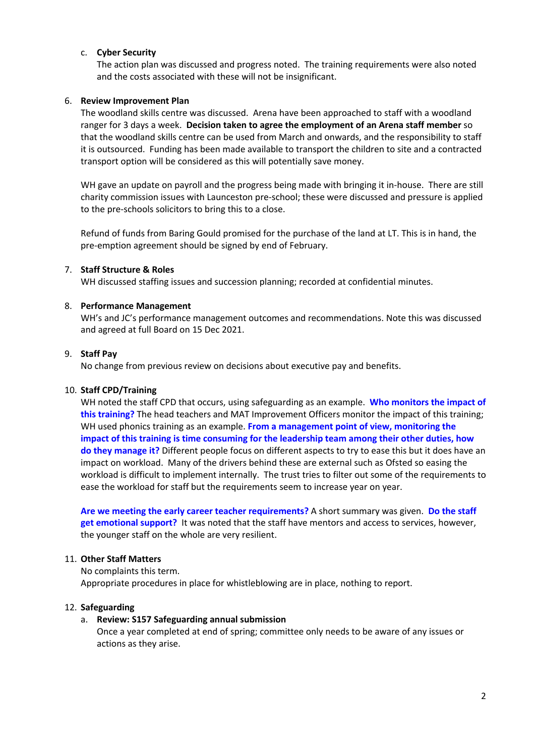### c. **Cyber Security**

The action plan was discussed and progress noted. The training requirements were also noted and the costs associated with these will not be insignificant.

### 6. **Review Improvement Plan**

The woodland skills centre was discussed. Arena have been approached to staff with a woodland ranger for 3 days a week. **Decision taken to agree the employment of an Arena staff member** so that the woodland skills centre can be used from March and onwards, and the responsibility to staff it is outsourced. Funding has been made available to transport the children to site and a contracted transport option will be considered as this will potentially save money.

WH gave an update on payroll and the progress being made with bringing it in-house. There are still charity commission issues with Launceston pre-school; these were discussed and pressure is applied to the pre-schools solicitors to bring this to a close.

Refund of funds from Baring Gould promised for the purchase of the land at LT. This is in hand, the pre-emption agreement should be signed by end of February.

#### 7. **Staff Structure & Roles**

WH discussed staffing issues and succession planning; recorded at confidential minutes.

### 8. **Performance Management**

WH's and JC's performance management outcomes and recommendations. Note this was discussed and agreed at full Board on 15 Dec 2021.

#### 9. **Staff Pay**

No change from previous review on decisions about executive pay and benefits.

#### 10. **Staff CPD/Training**

WH noted the staff CPD that occurs, using safeguarding as an example. **Who monitors the impact of this training?** The head teachers and MAT Improvement Officers monitor the impact of this training; WH used phonics training as an example. From a management point of view, monitoring the **impact of this training is time consuming for the leadership team among their other duties, how do they manage it?** Different people focus on different aspects to try to ease this but it does have an impact on workload. Many of the drivers behind these are external such as Ofsted so easing the workload is difficult to implement internally. The trust tries to filter out some of the requirements to ease the workload for staff but the requirements seem to increase year on year.

**Are we meeting the early career teacher requirements?** A short summary was given. **Do the staff get emotional support?** It was noted that the staff have mentors and access to services, however, the younger staff on the whole are very resilient.

#### 11. **Other Staff Matters**

No complaints this term. Appropriate procedures in place for whistleblowing are in place, nothing to report.

### 12. **Safeguarding**

#### a. **Review: S157 Safeguarding annual submission**

Once a year completed at end of spring; committee only needs to be aware of any issues or actions as they arise.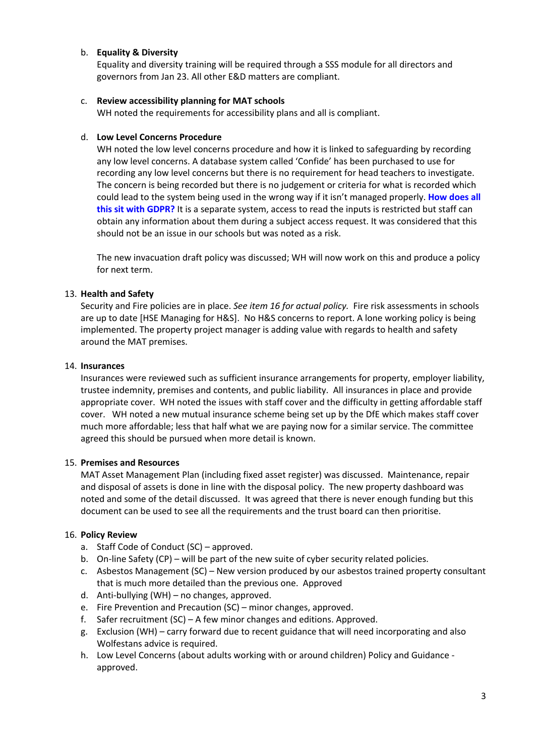## b. **Equality & Diversity**

Equality and diversity training will be required through a SSS module for all directors and governors from Jan 23. All other E&D matters are compliant.

### c. **Review accessibility planning for MAT schools**

WH noted the requirements for accessibility plans and all is compliant.

### d. **Low Level Concerns Procedure**

WH noted the low level concerns procedure and how it is linked to safeguarding by recording any low level concerns. A database system called 'Confide' has been purchased to use for recording any low level concerns but there is no requirement for head teachers to investigate. The concern is being recorded but there is no judgement or criteria for what is recorded which could lead to the system being used in the wrong way if it isn't managed properly. **How does all this sit with GDPR?** It is a separate system, access to read the inputs is restricted but staff can obtain any information about them during a subject access request. It was considered that this should not be an issue in our schools but was noted as a risk.

The new invacuation draft policy was discussed; WH will now work on this and produce a policy for next term.

# 13. **Health and Safety**

Security and Fire policies are in place. *See item 16 for actual policy.* Fire risk assessments in schools are up to date [HSE Managing for H&S]. No H&S concerns to report. A lone working policy is being implemented. The property project manager is adding value with regards to health and safety around the MAT premises.

#### 14. **Insurances**

Insurances were reviewed such as sufficient insurance arrangements for property, employer liability, trustee indemnity, premises and contents, and public liability. All insurances in place and provide appropriate cover. WH noted the issues with staff cover and the difficulty in getting affordable staff cover. WH noted a new mutual insurance scheme being set up by the DfE which makes staff cover much more affordable; less that half what we are paying now for a similar service. The committee agreed this should be pursued when more detail is known.

#### 15. **Premises and Resources**

MAT Asset Management Plan (including fixed asset register) was discussed. Maintenance, repair and disposal of assets is done in line with the disposal policy. The new property dashboard was noted and some of the detail discussed. It was agreed that there is never enough funding but this document can be used to see all the requirements and the trust board can then prioritise.

#### 16. **Policy Review**

- a. Staff Code of Conduct (SC) approved.
- b. On-line Safety (CP) will be part of the new suite of cyber security related policies.
- c. Asbestos Management (SC) New version produced by our asbestos trained property consultant that is much more detailed than the previous one. Approved
- d. Anti-bullying (WH) no changes, approved.
- e. Fire Prevention and Precaution (SC) minor changes, approved.
- f. Safer recruitment (SC) A few minor changes and editions. Approved.
- g. Exclusion (WH) carry forward due to recent guidance that will need incorporating and also Wolfestans advice is required.
- h. Low Level Concerns (about adults working with or around children) Policy and Guidance approved.